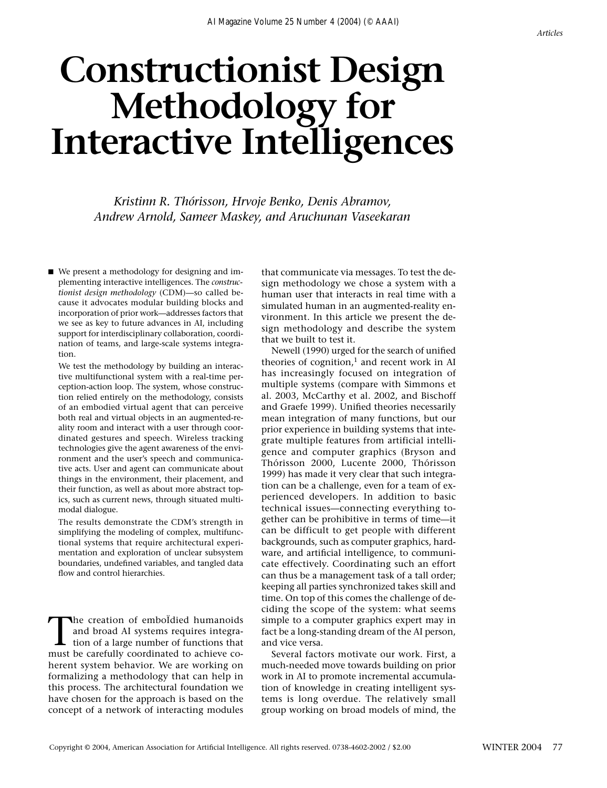# **Constructionist Design Methodology for Interactive Intelligences**

*Kristinn R. Thórisson, Hrvoje Benko, Denis Abramov, Andrew Arnold, Sameer Maskey, and Aruchunan Vaseekaran*

■ We present a methodology for designing and implementing interactive intelligences. The *constructionist design methodology* (CDM)—so called because it advocates modular building blocks and incorporation of prior work—addresses factors that we see as key to future advances in AI, including support for interdisciplinary collaboration, coordination of teams, and large-scale systems integration.

We test the methodology by building an interactive multifunctional system with a real-time perception-action loop. The system, whose construction relied entirely on the methodology, consists of an embodied virtual agent that can perceive both real and virtual objects in an augmented-reality room and interact with a user through coordinated gestures and speech. Wireless tracking technologies give the agent awareness of the environment and the user's speech and communicative acts. User and agent can communicate about things in the environment, their placement, and their function, as well as about more abstract topics, such as current news, through situated multimodal dialogue.

The results demonstrate the CDM's strength in simplifying the modeling of complex, multifunctional systems that require architectural experimentation and exploration of unclear subsystem boundaries, undefined variables, and tangled data flow and control hierarchies.

The creation of emboÏdied humanoids<br>and broad AI systems requires integra-<br>tion of a large number of functions that<br>must be carefully coordinated to achieve coand broad AI systems requires integramust be carefully coordinated to achieve coherent system behavior. We are working on formalizing a methodology that can help in this process. The architectural foundation we have chosen for the approach is based on the concept of a network of interacting modules that communicate via messages. To test the design methodology we chose a system with a human user that interacts in real time with a simulated human in an augmented-reality environment. In this article we present the design methodology and describe the system that we built to test it.

Newell (1990) urged for the search of unified theories of cognition, $<sup>1</sup>$  and recent work in AI</sup> has increasingly focused on integration of multiple systems (compare with Simmons et al. 2003, McCarthy et al. 2002, and Bischoff and Graefe 1999). Unified theories necessarily mean integration of many functions, but our prior experience in building systems that integrate multiple features from artificial intelligence and computer graphics (Bryson and Thórisson 2000, Lucente 2000, Thórisson 1999) has made it very clear that such integration can be a challenge, even for a team of experienced developers. In addition to basic technical issues—connecting everything together can be prohibitive in terms of time—it can be difficult to get people with different backgrounds, such as computer graphics, hardware, and artificial intelligence, to communicate effectively. Coordinating such an effort can thus be a management task of a tall order; keeping all parties synchronized takes skill and time. On top of this comes the challenge of deciding the scope of the system: what seems simple to a computer graphics expert may in fact be a long-standing dream of the AI person, and vice versa.

Several factors motivate our work. First, a much-needed move towards building on prior work in AI to promote incremental accumulation of knowledge in creating intelligent systems is long overdue. The relatively small group working on broad models of mind, the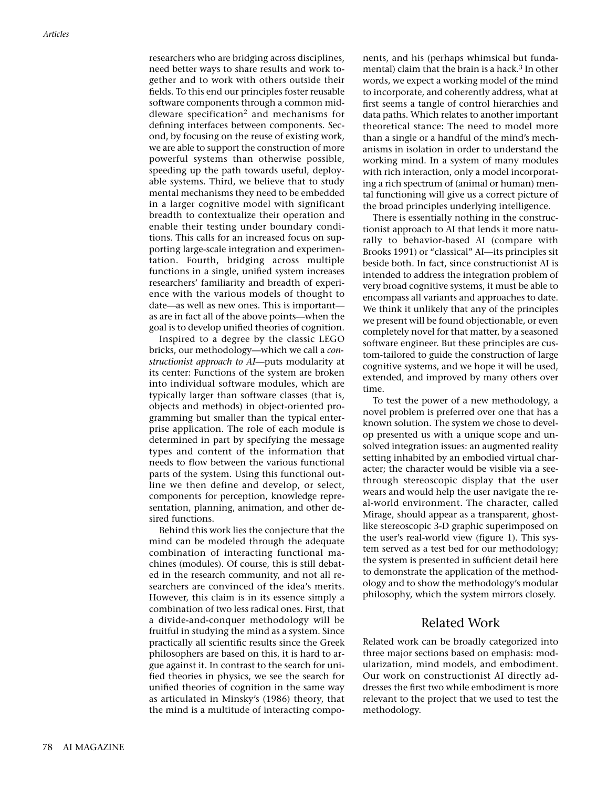researchers who are bridging across disciplines, need better ways to share results and work together and to work with others outside their fields. To this end our principles foster reusable software components through a common middleware specification<sup>2</sup> and mechanisms for defining interfaces between components. Second, by focusing on the reuse of existing work, we are able to support the construction of more powerful systems than otherwise possible, speeding up the path towards useful, deployable systems. Third, we believe that to study mental mechanisms they need to be embedded in a larger cognitive model with significant breadth to contextualize their operation and enable their testing under boundary conditions. This calls for an increased focus on supporting large-scale integration and experimentation. Fourth, bridging across multiple functions in a single, unified system increases researchers' familiarity and breadth of experience with the various models of thought to date—as well as new ones. This is important as are in fact all of the above points—when the goal is to develop unified theories of cognition.

Inspired to a degree by the classic LEGO bricks, our methodology—which we call a *constructionist approach to AI*—puts modularity at its center: Functions of the system are broken into individual software modules, which are typically larger than software classes (that is, objects and methods) in object-oriented programming but smaller than the typical enterprise application. The role of each module is determined in part by specifying the message types and content of the information that needs to flow between the various functional parts of the system. Using this functional outline we then define and develop, or select, components for perception, knowledge representation, planning, animation, and other desired functions.

Behind this work lies the conjecture that the mind can be modeled through the adequate combination of interacting functional machines (modules). Of course, this is still debated in the research community, and not all researchers are convinced of the idea's merits. However, this claim is in its essence simply a combination of two less radical ones. First, that a divide-and-conquer methodology will be fruitful in studying the mind as a system. Since practically all scientific results since the Greek philosophers are based on this, it is hard to argue against it. In contrast to the search for unified theories in physics, we see the search for unified theories of cognition in the same way as articulated in Minsky's (1986) theory, that the mind is a multitude of interacting components, and his (perhaps whimsical but fundamental) claim that the brain is a hack.<sup>3</sup> In other words, we expect a working model of the mind to incorporate, and coherently address, what at first seems a tangle of control hierarchies and data paths. Which relates to another important theoretical stance: The need to model more than a single or a handful of the mind's mechanisms in isolation in order to understand the working mind. In a system of many modules with rich interaction, only a model incorporating a rich spectrum of (animal or human) mental functioning will give us a correct picture of the broad principles underlying intelligence.

There is essentially nothing in the constructionist approach to AI that lends it more naturally to behavior-based AI (compare with Brooks 1991) or "classical" AI—its principles sit beside both. In fact, since constructionist AI is intended to address the integration problem of very broad cognitive systems, it must be able to encompass all variants and approaches to date. We think it unlikely that any of the principles we present will be found objectionable, or even completely novel for that matter, by a seasoned software engineer. But these principles are custom-tailored to guide the construction of large cognitive systems, and we hope it will be used, extended, and improved by many others over time.

To test the power of a new methodology, a novel problem is preferred over one that has a known solution. The system we chose to develop presented us with a unique scope and unsolved integration issues: an augmented reality setting inhabited by an embodied virtual character; the character would be visible via a seethrough stereoscopic display that the user wears and would help the user navigate the real-world environment. The character, called Mirage, should appear as a transparent, ghostlike stereoscopic 3-D graphic superimposed on the user's real-world view (figure 1). This system served as a test bed for our methodology; the system is presented in sufficient detail here to demonstrate the application of the methodology and to show the methodology's modular philosophy, which the system mirrors closely.

## Related Work

Related work can be broadly categorized into three major sections based on emphasis: modularization, mind models, and embodiment. Our work on constructionist AI directly addresses the first two while embodiment is more relevant to the project that we used to test the methodology.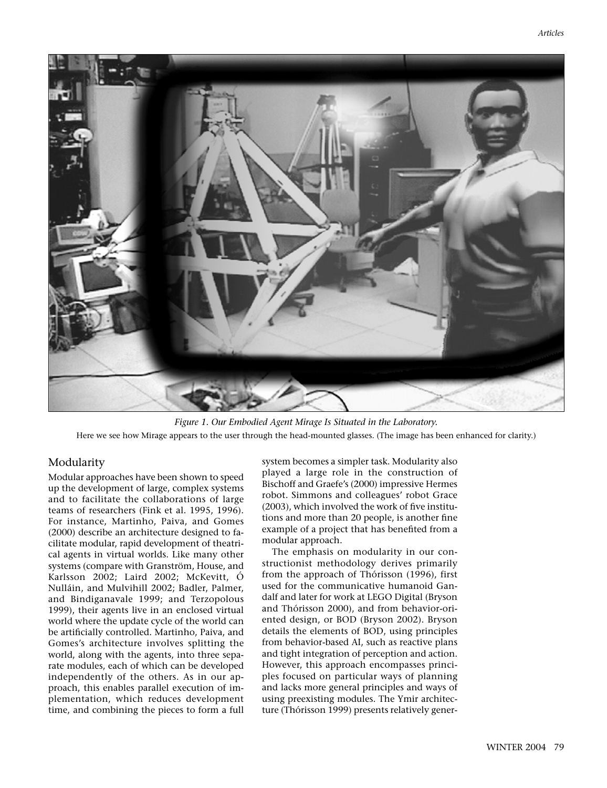

*Figure 1. Our Embodied Agent Mirage Is Situated in the Laboratory.* Here we see how Mirage appears to the user through the head-mounted glasses. (The image has been enhanced for clarity.)

## Modularity

Modular approaches have been shown to speed up the development of large, complex systems and to facilitate the collaborations of large teams of researchers (Fink et al. 1995, 1996). For instance, Martinho, Paiva, and Gomes (2000) describe an architecture designed to facilitate modular, rapid development of theatrical agents in virtual worlds. Like many other systems (compare with Granström, House, and Karlsson 2002; Laird 2002; McKevitt, Ó Nulláin, and Mulvihill 2002; Badler, Palmer, and Bindiganavale 1999; and Terzopolous 1999), their agents live in an enclosed virtual world where the update cycle of the world can be artificially controlled. Martinho, Paiva, and Gomes's architecture involves splitting the world, along with the agents, into three separate modules, each of which can be developed independently of the others. As in our approach, this enables parallel execution of implementation, which reduces development time, and combining the pieces to form a full system becomes a simpler task. Modularity also played a large role in the construction of Bischoff and Graefe's (2000) impressive Hermes robot. Simmons and colleagues' robot Grace (2003), which involved the work of five institutions and more than 20 people, is another fine example of a project that has benefited from a modular approach.

The emphasis on modularity in our constructionist methodology derives primarily from the approach of Thórisson (1996), first used for the communicative humanoid Gandalf and later for work at LEGO Digital (Bryson and Thórisson 2000), and from behavior-oriented design, or BOD (Bryson 2002). Bryson details the elements of BOD, using principles from behavior-based AI, such as reactive plans and tight integration of perception and action. However, this approach encompasses principles focused on particular ways of planning and lacks more general principles and ways of using preexisting modules. The Ymir architecture (Thórisson 1999) presents relatively gener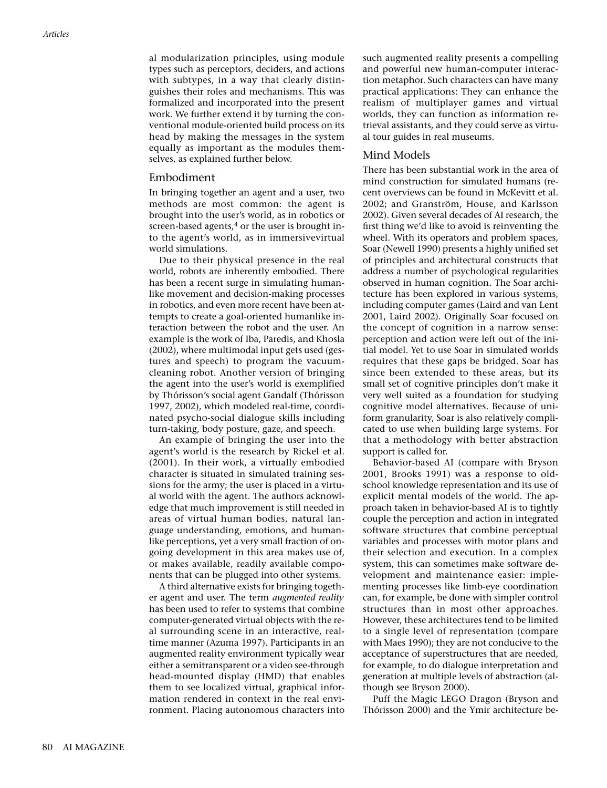al modularization principles, using module types such as perceptors, deciders, and actions with subtypes, in a way that clearly distinguishes their roles and mechanisms. This was formalized and incorporated into the present work. We further extend it by turning the conventional module-oriented build process on its head by making the messages in the system equally as important as the modules themselves, as explained further below.

#### Embodiment

In bringing together an agent and a user, two methods are most common: the agent is brought into the user's world, as in robotics or screen-based agents, $4$  or the user is brought into the agent's world, as in immersivevirtual world simulations.

Due to their physical presence in the real world, robots are inherently embodied. There has been a recent surge in simulating humanlike movement and decision-making processes in robotics, and even more recent have been attempts to create a goal-oriented humanlike interaction between the robot and the user. An example is the work of Iba, Paredis, and Khosla (2002), where multimodal input gets used (gestures and speech) to program the vacuumcleaning robot. Another version of bringing the agent into the user's world is exemplified by Thórisson's social agent Gandalf (Thórisson 1997, 2002), which modeled real-time, coordinated psycho-social dialogue skills including turn-taking, body posture, gaze, and speech.

An example of bringing the user into the agent's world is the research by Rickel et al. (2001). In their work, a virtually embodied character is situated in simulated training sessions for the army; the user is placed in a virtual world with the agent. The authors acknowledge that much improvement is still needed in areas of virtual human bodies, natural language understanding, emotions, and humanlike perceptions, yet a very small fraction of ongoing development in this area makes use of, or makes available, readily available components that can be plugged into other systems.

A third alternative exists for bringing together agent and user. The term *augmented reality* has been used to refer to systems that combine computer-generated virtual objects with the real surrounding scene in an interactive, realtime manner (Azuma 1997). Participants in an augmented reality environment typically wear either a semitransparent or a video see-through head-mounted display (HMD) that enables them to see localized virtual, graphical information rendered in context in the real environment. Placing autonomous characters into such augmented reality presents a compelling and powerful new human-computer interaction metaphor. Such characters can have many practical applications: They can enhance the realism of multiplayer games and virtual worlds, they can function as information retrieval assistants, and they could serve as virtual tour guides in real museums.

## Mind Models

There has been substantial work in the area of mind construction for simulated humans (recent overviews can be found in McKevitt et al. 2002; and Granström, House, and Karlsson 2002). Given several decades of AI research, the first thing we'd like to avoid is reinventing the wheel. With its operators and problem spaces, Soar (Newell 1990) presents a highly unified set of principles and architectural constructs that address a number of psychological regularities observed in human cognition. The Soar architecture has been explored in various systems, including computer games (Laird and van Lent 2001, Laird 2002). Originally Soar focused on the concept of cognition in a narrow sense: perception and action were left out of the initial model. Yet to use Soar in simulated worlds requires that these gaps be bridged. Soar has since been extended to these areas, but its small set of cognitive principles don't make it very well suited as a foundation for studying cognitive model alternatives. Because of uniform granularity, Soar is also relatively complicated to use when building large systems. For that a methodology with better abstraction support is called for.

Behavior-based AI (compare with Bryson 2001, Brooks 1991) was a response to oldschool knowledge representation and its use of explicit mental models of the world. The approach taken in behavior-based AI is to tightly couple the perception and action in integrated software structures that combine perceptual variables and processes with motor plans and their selection and execution. In a complex system, this can sometimes make software development and maintenance easier: implementing processes like limb-eye coordination can, for example, be done with simpler control structures than in most other approaches. However, these architectures tend to be limited to a single level of representation (compare with Maes 1990); they are not conducive to the acceptance of superstructures that are needed, for example, to do dialogue interpretation and generation at multiple levels of abstraction (although see Bryson 2000).

Puff the Magic LEGO Dragon (Bryson and Thórisson 2000) and the Ymir architecture be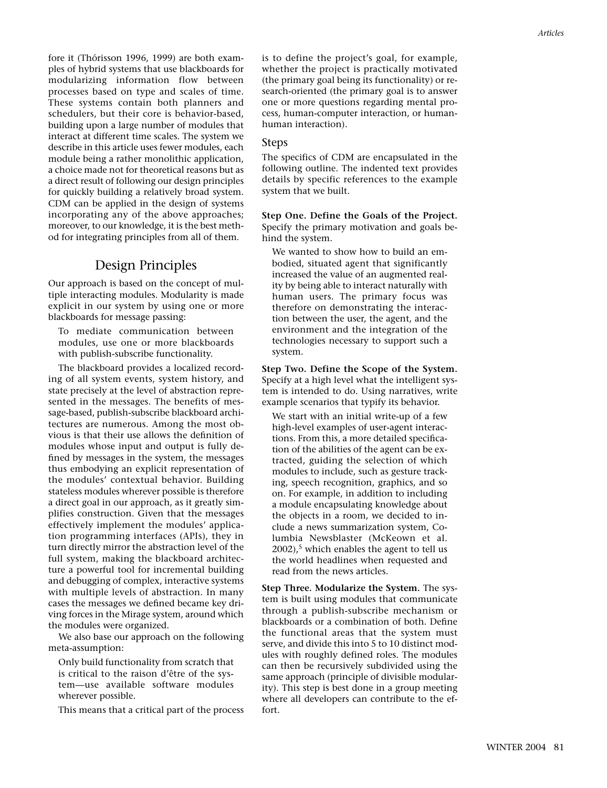fore it (Thórisson 1996, 1999) are both examples of hybrid systems that use blackboards for modularizing information flow between processes based on type and scales of time. These systems contain both planners and schedulers, but their core is behavior-based, building upon a large number of modules that interact at different time scales. The system we describe in this article uses fewer modules, each module being a rather monolithic application, a choice made not for theoretical reasons but as a direct result of following our design principles for quickly building a relatively broad system. CDM can be applied in the design of systems incorporating any of the above approaches; moreover, to our knowledge, it is the best method for integrating principles from all of them.

# Design Principles

Our approach is based on the concept of multiple interacting modules. Modularity is made explicit in our system by using one or more blackboards for message passing:

To mediate communication between modules, use one or more blackboards with publish-subscribe functionality.

The blackboard provides a localized recording of all system events, system history, and state precisely at the level of abstraction represented in the messages. The benefits of message-based, publish-subscribe blackboard architectures are numerous. Among the most obvious is that their use allows the definition of modules whose input and output is fully defined by messages in the system, the messages thus embodying an explicit representation of the modules' contextual behavior. Building stateless modules wherever possible is therefore a direct goal in our approach, as it greatly simplifies construction. Given that the messages effectively implement the modules' application programming interfaces (APIs), they in turn directly mirror the abstraction level of the full system, making the blackboard architecture a powerful tool for incremental building and debugging of complex, interactive systems with multiple levels of abstraction. In many cases the messages we defined became key driving forces in the Mirage system, around which the modules were organized.

We also base our approach on the following meta-assumption:

Only build functionality from scratch that is critical to the raison d'être of the system—use available software modules wherever possible.

This means that a critical part of the process

is to define the project's goal, for example, whether the project is practically motivated (the primary goal being its functionality) or research-oriented (the primary goal is to answer one or more questions regarding mental process, human-computer interaction, or humanhuman interaction).

## Steps

The specifics of CDM are encapsulated in the following outline. The indented text provides details by specific references to the example system that we built.

**Step One. Define the Goals of the Project.** Specify the primary motivation and goals behind the system.

We wanted to show how to build an embodied, situated agent that significantly increased the value of an augmented reality by being able to interact naturally with human users. The primary focus was therefore on demonstrating the interaction between the user, the agent, and the environment and the integration of the technologies necessary to support such a system.

**Step Two. Define the Scope of the System.** Specify at a high level what the intelligent system is intended to do. Using narratives, write example scenarios that typify its behavior.

We start with an initial write-up of a few high-level examples of user-agent interactions. From this, a more detailed specification of the abilities of the agent can be extracted, guiding the selection of which modules to include, such as gesture tracking, speech recognition, graphics, and so on. For example, in addition to including a module encapsulating knowledge about the objects in a room, we decided to include a news summarization system, Columbia Newsblaster (McKeown et al.  $2002$ ),<sup>5</sup> which enables the agent to tell us the world headlines when requested and read from the news articles.

**Step Three. Modularize the System.** The system is built using modules that communicate through a publish-subscribe mechanism or blackboards or a combination of both. Define the functional areas that the system must serve, and divide this into 5 to 10 distinct modules with roughly defined roles. The modules can then be recursively subdivided using the same approach (principle of divisible modularity). This step is best done in a group meeting where all developers can contribute to the effort.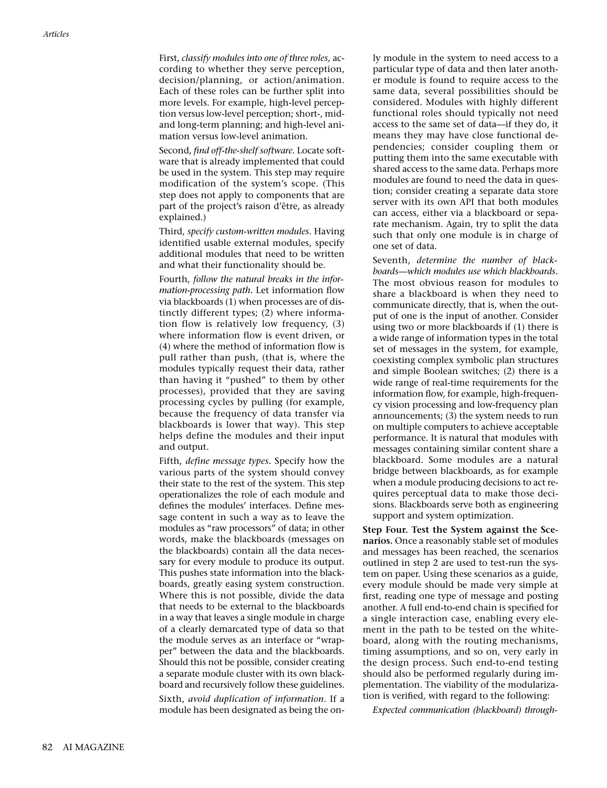First, *classify modules into one of three roles,* according to whether they serve perception, decision/planning, or action/animation. Each of these roles can be further split into more levels. For example, high-level perception versus low-level perception; short-, midand long-term planning; and high-level animation versus low-level animation.

Second, *find off-the-shelf software.* Locate software that is already implemented that could be used in the system. This step may require modification of the system's scope. (This step does not apply to components that are part of the project's raison d'être, as already explained.)

Third, *specify custom-written modules.* Having identified usable external modules, specify additional modules that need to be written and what their functionality should be.

Fourth, *follow the natural breaks in the information-processing path.* Let information flow via blackboards (1) when processes are of distinctly different types; (2) where information flow is relatively low frequency, (3) where information flow is event driven, or (4) where the method of information flow is pull rather than push, (that is, where the modules typically request their data, rather than having it "pushed" to them by other processes), provided that they are saving processing cycles by pulling (for example, because the frequency of data transfer via blackboards is lower that way). This step helps define the modules and their input and output.

Fifth, *define message types.* Specify how the various parts of the system should convey their state to the rest of the system. This step operationalizes the role of each module and defines the modules' interfaces. Define message content in such a way as to leave the modules as "raw processors" of data; in other words, make the blackboards (messages on the blackboards) contain all the data necessary for every module to produce its output. This pushes state information into the blackboards, greatly easing system construction. Where this is not possible, divide the data that needs to be external to the blackboards in a way that leaves a single module in charge of a clearly demarcated type of data so that the module serves as an interface or "wrapper" between the data and the blackboards. Should this not be possible, consider creating a separate module cluster with its own blackboard and recursively follow these guidelines.

Sixth, *avoid duplication of information.* If a module has been designated as being the only module in the system to need access to a particular type of data and then later another module is found to require access to the same data, several possibilities should be considered. Modules with highly different functional roles should typically not need access to the same set of data—if they do, it means they may have close functional dependencies; consider coupling them or putting them into the same executable with shared access to the same data. Perhaps more modules are found to need the data in question; consider creating a separate data store server with its own API that both modules can access, either via a blackboard or separate mechanism. Again, try to split the data such that only one module is in charge of one set of data.

Seventh, *determine the number of blackboards—which modules use which blackboards.* The most obvious reason for modules to share a blackboard is when they need to communicate directly, that is, when the output of one is the input of another. Consider using two or more blackboards if (1) there is a wide range of information types in the total set of messages in the system, for example, coexisting complex symbolic plan structures and simple Boolean switches; (2) there is a wide range of real-time requirements for the information flow, for example, high-frequency vision processing and low-frequency plan announcements; (3) the system needs to run on multiple computers to achieve acceptable performance. It is natural that modules with messages containing similar content share a blackboard. Some modules are a natural bridge between blackboards, as for example when a module producing decisions to act requires perceptual data to make those decisions. Blackboards serve both as engineering support and system optimization.

**Step Four. Test the System against the Scenarios.** Once a reasonably stable set of modules and messages has been reached, the scenarios outlined in step 2 are used to test-run the system on paper. Using these scenarios as a guide, every module should be made very simple at first, reading one type of message and posting another. A full end-to-end chain is specified for a single interaction case, enabling every element in the path to be tested on the whiteboard, along with the routing mechanisms, timing assumptions, and so on, very early in the design process. Such end-to-end testing should also be performed regularly during implementation. The viability of the modularization is verified, with regard to the following:

*Expected communication (blackboard) through-*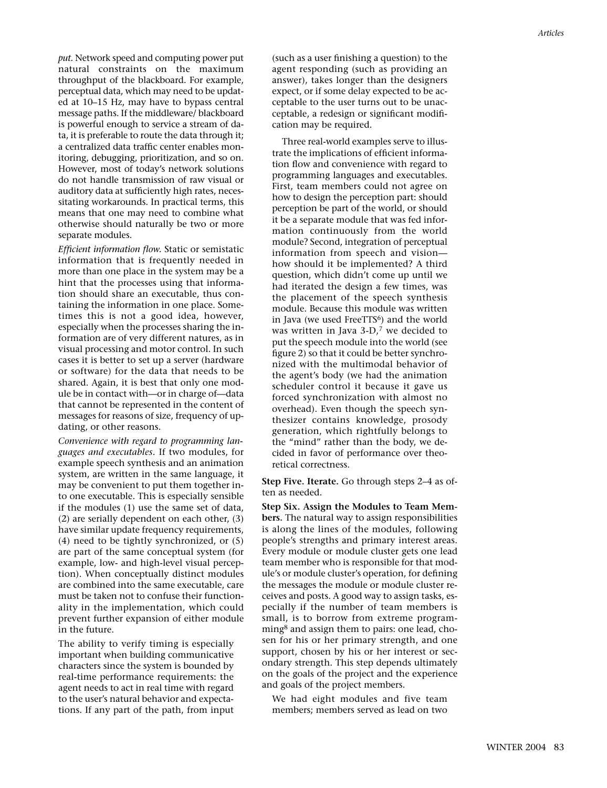*put.* Network speed and computing power put natural constraints on the maximum throughput of the blackboard. For example, perceptual data, which may need to be updated at 10–15 Hz, may have to bypass central message paths. If the middleware/ blackboard is powerful enough to service a stream of data, it is preferable to route the data through it; a centralized data traffic center enables monitoring, debugging, prioritization, and so on. However, most of today's network solutions do not handle transmission of raw visual or auditory data at sufficiently high rates, necessitating workarounds. In practical terms, this means that one may need to combine what otherwise should naturally be two or more separate modules.

*Efficient information flow.* Static or semistatic information that is frequently needed in more than one place in the system may be a hint that the processes using that information should share an executable, thus containing the information in one place. Sometimes this is not a good idea, however, especially when the processes sharing the information are of very different natures, as in visual processing and motor control. In such cases it is better to set up a server (hardware or software) for the data that needs to be shared. Again, it is best that only one module be in contact with—or in charge of—data that cannot be represented in the content of messages for reasons of size, frequency of updating, or other reasons.

*Convenience with regard to programming languages and executables.* If two modules, for example speech synthesis and an animation system, are written in the same language, it may be convenient to put them together into one executable. This is especially sensible if the modules (1) use the same set of data, (2) are serially dependent on each other, (3) have similar update frequency requirements, (4) need to be tightly synchronized, or (5) are part of the same conceptual system (for example, low- and high-level visual perception). When conceptually distinct modules are combined into the same executable, care must be taken not to confuse their functionality in the implementation, which could prevent further expansion of either module in the future.

The ability to verify timing is especially important when building communicative characters since the system is bounded by real-time performance requirements: the agent needs to act in real time with regard to the user's natural behavior and expectations. If any part of the path, from input

(such as a user finishing a question) to the agent responding (such as providing an answer), takes longer than the designers expect, or if some delay expected to be acceptable to the user turns out to be unacceptable, a redesign or significant modification may be required.

Three real-world examples serve to illustrate the implications of efficient information flow and convenience with regard to programming languages and executables. First, team members could not agree on how to design the perception part: should perception be part of the world, or should it be a separate module that was fed information continuously from the world module? Second, integration of perceptual information from speech and vision how should it be implemented? A third question, which didn't come up until we had iterated the design a few times, was the placement of the speech synthesis module. Because this module was written in Java (we used FreeTTS<sup>6</sup>) and the world was written in Java 3-D, $<sup>7</sup>$  we decided to</sup> put the speech module into the world (see figure 2) so that it could be better synchronized with the multimodal behavior of the agent's body (we had the animation scheduler control it because it gave us forced synchronization with almost no overhead). Even though the speech synthesizer contains knowledge, prosody generation, which rightfully belongs to the "mind" rather than the body, we decided in favor of performance over theoretical correctness.

**Step Five. Iterate.** Go through steps 2–4 as often as needed.

**Step Six. Assign the Modules to Team Members.** The natural way to assign responsibilities is along the lines of the modules, following people's strengths and primary interest areas. Every module or module cluster gets one lead team member who is responsible for that module's or module cluster's operation, for defining the messages the module or module cluster receives and posts. A good way to assign tasks, especially if the number of team members is small, is to borrow from extreme programming<sup>8</sup> and assign them to pairs: one lead, chosen for his or her primary strength, and one support, chosen by his or her interest or secondary strength. This step depends ultimately on the goals of the project and the experience and goals of the project members.

We had eight modules and five team members; members served as lead on two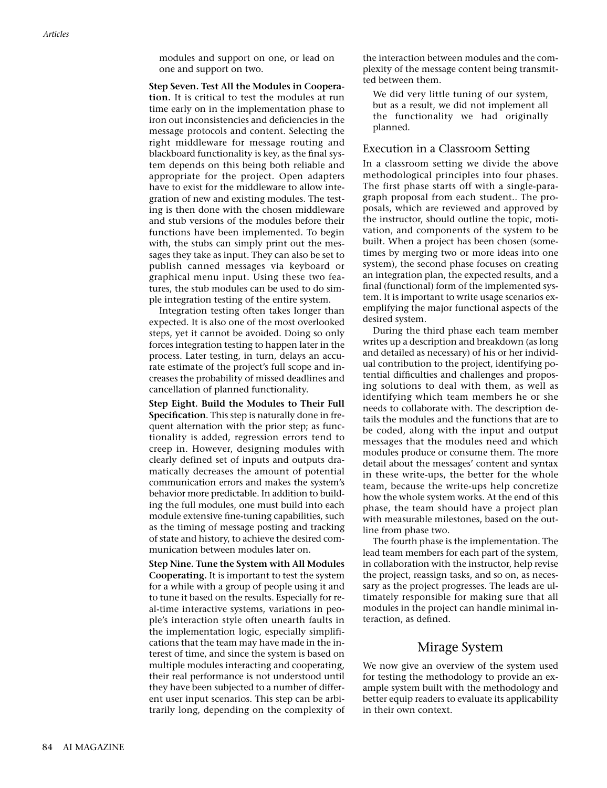modules and support on one, or lead on one and support on two.

#### **Step Seven. Test All the Modules in Coopera-**

**tion.** It is critical to test the modules at run time early on in the implementation phase to iron out inconsistencies and deficiencies in the message protocols and content. Selecting the right middleware for message routing and blackboard functionality is key, as the final system depends on this being both reliable and appropriate for the project. Open adapters have to exist for the middleware to allow integration of new and existing modules. The testing is then done with the chosen middleware and stub versions of the modules before their functions have been implemented. To begin with, the stubs can simply print out the messages they take as input. They can also be set to publish canned messages via keyboard or graphical menu input. Using these two features, the stub modules can be used to do simple integration testing of the entire system.

Integration testing often takes longer than expected. It is also one of the most overlooked steps, yet it cannot be avoided. Doing so only forces integration testing to happen later in the process. Later testing, in turn, delays an accurate estimate of the project's full scope and increases the probability of missed deadlines and cancellation of planned functionality.

**Step Eight. Build the Modules to Their Full Specification**. This step is naturally done in frequent alternation with the prior step; as functionality is added, regression errors tend to creep in. However, designing modules with clearly defined set of inputs and outputs dramatically decreases the amount of potential communication errors and makes the system's behavior more predictable. In addition to building the full modules, one must build into each module extensive fine-tuning capabilities, such as the timing of message posting and tracking of state and history, to achieve the desired communication between modules later on.

**Step Nine. Tune the System with All Modules Cooperating.** It is important to test the system for a while with a group of people using it and to tune it based on the results. Especially for real-time interactive systems, variations in people's interaction style often unearth faults in the implementation logic, especially simplifications that the team may have made in the interest of time, and since the system is based on multiple modules interacting and cooperating, their real performance is not understood until they have been subjected to a number of different user input scenarios. This step can be arbitrarily long, depending on the complexity of the interaction between modules and the complexity of the message content being transmitted between them.

We did very little tuning of our system, but as a result, we did not implement all the functionality we had originally planned.

## Execution in a Classroom Setting

In a classroom setting we divide the above methodological principles into four phases. The first phase starts off with a single-paragraph proposal from each student.. The proposals, which are reviewed and approved by the instructor, should outline the topic, motivation, and components of the system to be built. When a project has been chosen (sometimes by merging two or more ideas into one system), the second phase focuses on creating an integration plan, the expected results, and a final (functional) form of the implemented system. It is important to write usage scenarios exemplifying the major functional aspects of the desired system.

During the third phase each team member writes up a description and breakdown (as long and detailed as necessary) of his or her individual contribution to the project, identifying potential difficulties and challenges and proposing solutions to deal with them, as well as identifying which team members he or she needs to collaborate with. The description details the modules and the functions that are to be coded, along with the input and output messages that the modules need and which modules produce or consume them. The more detail about the messages' content and syntax in these write-ups, the better for the whole team, because the write-ups help concretize how the whole system works. At the end of this phase, the team should have a project plan with measurable milestones, based on the outline from phase two.

The fourth phase is the implementation. The lead team members for each part of the system, in collaboration with the instructor, help revise the project, reassign tasks, and so on, as necessary as the project progresses. The leads are ultimately responsible for making sure that all modules in the project can handle minimal interaction, as defined.

## Mirage System

We now give an overview of the system used for testing the methodology to provide an example system built with the methodology and better equip readers to evaluate its applicability in their own context.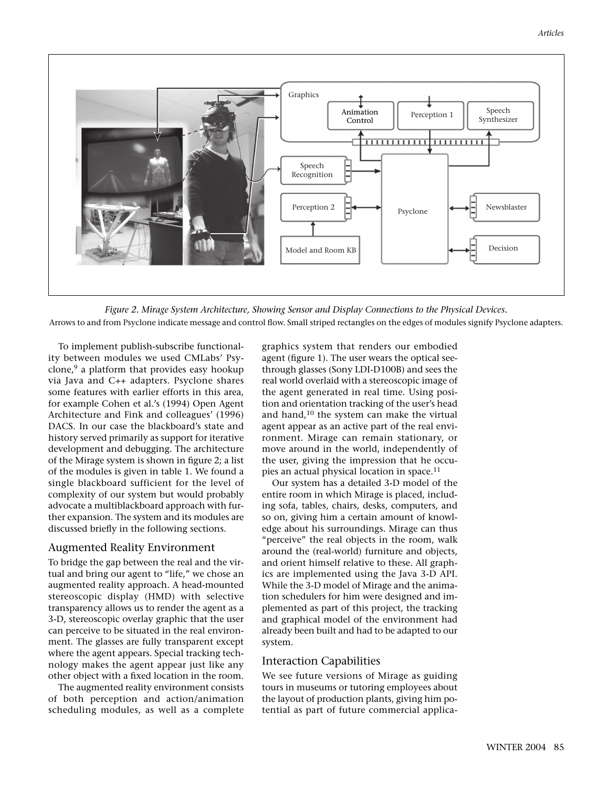

*Figure 2. Mirage System Architecture, Showing Sensor and Display Connections to the Physical Devices.* Arrows to and from Psyclone indicate message and control flow. Small striped rectangles on the edges of modules signify Psyclone adapters.

To implement publish-subscribe functionality between modules we used CMLabs' Psyclone, $9$  a platform that provides easy hookup via Java and C++ adapters. Psyclone shares some features with earlier efforts in this area, for example Cohen et al.'s (1994) Open Agent Architecture and Fink and colleagues' (1996) DACS. In our case the blackboard's state and history served primarily as support for iterative development and debugging. The architecture of the Mirage system is shown in figure 2; a list of the modules is given in table 1. We found a single blackboard sufficient for the level of complexity of our system but would probably advocate a multiblackboard approach with further expansion. The system and its modules are discussed briefly in the following sections.

## Augmented Reality Environment

To bridge the gap between the real and the virtual and bring our agent to "life," we chose an augmented reality approach. A head-mounted stereoscopic display (HMD) with selective transparency allows us to render the agent as a 3-D, stereoscopic overlay graphic that the user can perceive to be situated in the real environment. The glasses are fully transparent except where the agent appears. Special tracking technology makes the agent appear just like any other object with a fixed location in the room.

The augmented reality environment consists of both perception and action/animation scheduling modules, as well as a complete graphics system that renders our embodied agent (figure 1). The user wears the optical seethrough glasses (Sony LDI-D100B) and sees the real world overlaid with a stereoscopic image of the agent generated in real time. Using position and orientation tracking of the user's head and hand, $10$  the system can make the virtual agent appear as an active part of the real environment. Mirage can remain stationary, or move around in the world, independently of the user, giving the impression that he occupies an actual physical location in space.<sup>11</sup>

Our system has a detailed 3-D model of the entire room in which Mirage is placed, including sofa, tables, chairs, desks, computers, and so on, giving him a certain amount of knowledge about his surroundings. Mirage can thus "perceive" the real objects in the room, walk around the (real-world) furniture and objects, and orient himself relative to these. All graphics are implemented using the Java 3-D API. While the 3-D model of Mirage and the animation schedulers for him were designed and implemented as part of this project, the tracking and graphical model of the environment had already been built and had to be adapted to our system.

### Interaction Capabilities

We see future versions of Mirage as guiding tours in museums or tutoring employees about the layout of production plants, giving him potential as part of future commercial applica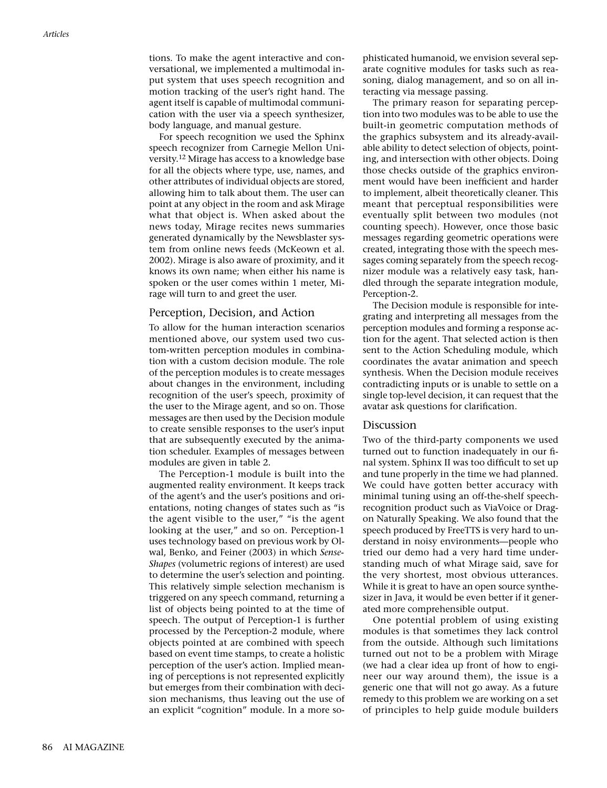tions. To make the agent interactive and conversational, we implemented a multimodal input system that uses speech recognition and motion tracking of the user's right hand. The agent itself is capable of multimodal communication with the user via a speech synthesizer, body language, and manual gesture.

For speech recognition we used the Sphinx speech recognizer from Carnegie Mellon University.12 Mirage has access to a knowledge base for all the objects where type, use, names, and other attributes of individual objects are stored, allowing him to talk about them. The user can point at any object in the room and ask Mirage what that object is. When asked about the news today, Mirage recites news summaries generated dynamically by the Newsblaster system from online news feeds (McKeown et al. 2002). Mirage is also aware of proximity, and it knows its own name; when either his name is spoken or the user comes within 1 meter, Mirage will turn to and greet the user.

### Perception, Decision, and Action

To allow for the human interaction scenarios mentioned above, our system used two custom-written perception modules in combination with a custom decision module. The role of the perception modules is to create messages about changes in the environment, including recognition of the user's speech, proximity of the user to the Mirage agent, and so on. Those messages are then used by the Decision module to create sensible responses to the user's input that are subsequently executed by the animation scheduler. Examples of messages between modules are given in table 2.

The Perception-1 module is built into the augmented reality environment. It keeps track of the agent's and the user's positions and orientations, noting changes of states such as "is the agent visible to the user," "is the agent looking at the user," and so on. Perception-1 uses technology based on previous work by Olwal, Benko, and Feiner (2003) in which *Sense-Shapes* (volumetric regions of interest) are used to determine the user's selection and pointing. This relatively simple selection mechanism is triggered on any speech command, returning a list of objects being pointed to at the time of speech. The output of Perception-1 is further processed by the Perception-2 module, where objects pointed at are combined with speech based on event time stamps, to create a holistic perception of the user's action. Implied meaning of perceptions is not represented explicitly but emerges from their combination with decision mechanisms, thus leaving out the use of an explicit "cognition" module. In a more sophisticated humanoid, we envision several separate cognitive modules for tasks such as reasoning, dialog management, and so on all interacting via message passing.

The primary reason for separating perception into two modules was to be able to use the built-in geometric computation methods of the graphics subsystem and its already-available ability to detect selection of objects, pointing, and intersection with other objects. Doing those checks outside of the graphics environment would have been inefficient and harder to implement, albeit theoretically cleaner. This meant that perceptual responsibilities were eventually split between two modules (not counting speech). However, once those basic messages regarding geometric operations were created, integrating those with the speech messages coming separately from the speech recognizer module was a relatively easy task, handled through the separate integration module, Perception-2.

The Decision module is responsible for integrating and interpreting all messages from the perception modules and forming a response action for the agent. That selected action is then sent to the Action Scheduling module, which coordinates the avatar animation and speech synthesis. When the Decision module receives contradicting inputs or is unable to settle on a single top-level decision, it can request that the avatar ask questions for clarification.

## Discussion

Two of the third-party components we used turned out to function inadequately in our final system. Sphinx II was too difficult to set up and tune properly in the time we had planned. We could have gotten better accuracy with minimal tuning using an off-the-shelf speechrecognition product such as ViaVoice or Dragon Naturally Speaking. We also found that the speech produced by FreeTTS is very hard to understand in noisy environments—people who tried our demo had a very hard time understanding much of what Mirage said, save for the very shortest, most obvious utterances. While it is great to have an open source synthesizer in Java, it would be even better if it generated more comprehensible output.

One potential problem of using existing modules is that sometimes they lack control from the outside. Although such limitations turned out not to be a problem with Mirage (we had a clear idea up front of how to engineer our way around them), the issue is a generic one that will not go away. As a future remedy to this problem we are working on a set of principles to help guide module builders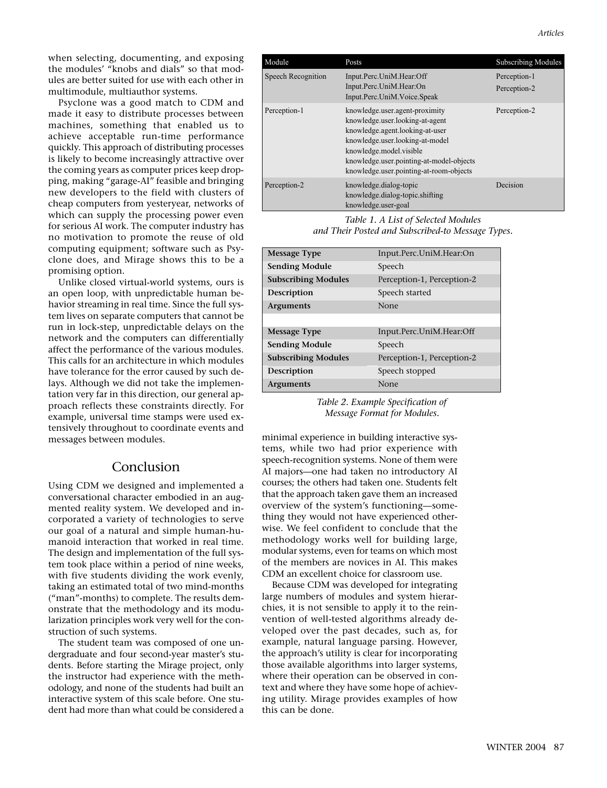Psyclone was a good match to CDM and made it easy to distribute processes between machines, something that enabled us to achieve acceptable run-time performance quickly. This approach of distributing processes is likely to become increasingly attractive over the coming years as computer prices keep dropping, making "garage-AI" feasible and bringing new developers to the field with clusters of cheap computers from yesteryear, networks of which can supply the processing power even for serious AI work. The computer industry has no motivation to promote the reuse of old computing equipment; software such as Psyclone does, and Mirage shows this to be a promising option.

Unlike closed virtual-world systems, ours is an open loop, with unpredictable human behavior streaming in real time. Since the full system lives on separate computers that cannot be run in lock-step, unpredictable delays on the network and the computers can differentially affect the performance of the various modules. This calls for an architecture in which modules have tolerance for the error caused by such delays. Although we did not take the implementation very far in this direction, our general approach reflects these constraints directly. For example, universal time stamps were used extensively throughout to coordinate events and messages between modules.

# Conclusion

Using CDM we designed and implemented a conversational character embodied in an augmented reality system. We developed and incorporated a variety of technologies to serve our goal of a natural and simple human-humanoid interaction that worked in real time. The design and implementation of the full system took place within a period of nine weeks, with five students dividing the work evenly, taking an estimated total of two mind-months ("man"-months) to complete. The results demonstrate that the methodology and its modularization principles work very well for the construction of such systems.

The student team was composed of one undergraduate and four second-year master's students. Before starting the Mirage project, only the instructor had experience with the methodology, and none of the students had built an interactive system of this scale before. One student had more than what could be considered a

| Module             | Posts                                                                                                                                                                                                                                                     | <b>Subscribing Modules</b>   |
|--------------------|-----------------------------------------------------------------------------------------------------------------------------------------------------------------------------------------------------------------------------------------------------------|------------------------------|
| Speech Recognition | Input.Perc.UniM.Hear:Off<br>Input.Perc.UniM.Hear:On                                                                                                                                                                                                       | Perception-1<br>Perception-2 |
|                    | Input.Perc.UniM.Voice.Speak                                                                                                                                                                                                                               |                              |
| Perception-1       | knowledge.user.agent-proximity<br>knowledge.user.looking-at-agent<br>knowledge.agent.looking-at-user<br>knowledge.user.looking-at-model<br>knowledge.model.visible<br>knowledge.user.pointing-at-model-objects<br>knowledge.user.pointing-at-room-objects | Perception-2                 |
| Perception-2       | knowledge.dialog-topic<br>knowledge.dialog-topic.shifting<br>knowledge.user-goal                                                                                                                                                                          | Decision                     |

*Table 1. A List of Selected Modules and Their Posted and Subscribed-to Message Types.*

| <b>Message Type</b>        | Input.Perc.UniM.Hear:On    |
|----------------------------|----------------------------|
| <b>Sending Module</b>      | Speech                     |
| <b>Subscribing Modules</b> | Perception-1, Perception-2 |
| Description                | Speech started             |
| <b>Arguments</b>           | None                       |
|                            |                            |
| <b>Message Type</b>        | Input.Perc.UniM.Hear:Off   |
| <b>Sending Module</b>      | Speech                     |
| <b>Subscribing Modules</b> | Perception-1, Perception-2 |
| Description                | Speech stopped             |
| <b>Arguments</b>           | None                       |

*Table 2. Example Specification of Message Format for Modules.*

minimal experience in building interactive systems, while two had prior experience with speech-recognition systems. None of them were AI majors—one had taken no introductory AI courses; the others had taken one. Students felt that the approach taken gave them an increased overview of the system's functioning—something they would not have experienced otherwise. We feel confident to conclude that the methodology works well for building large, modular systems, even for teams on which most of the members are novices in AI. This makes CDM an excellent choice for classroom use.

Because CDM was developed for integrating large numbers of modules and system hierarchies, it is not sensible to apply it to the reinvention of well-tested algorithms already developed over the past decades, such as, for example, natural language parsing. However, the approach's utility is clear for incorporating those available algorithms into larger systems, where their operation can be observed in context and where they have some hope of achieving utility. Mirage provides examples of how this can be done.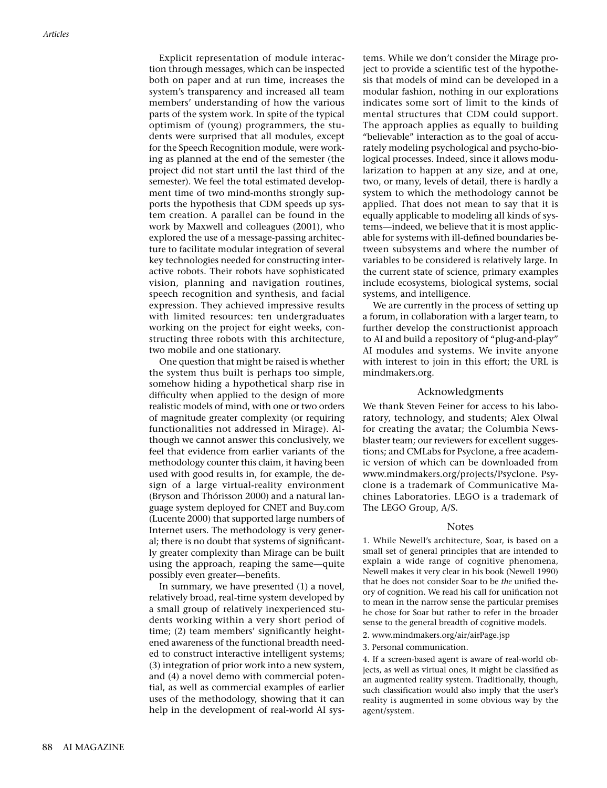Explicit representation of module interaction through messages, which can be inspected both on paper and at run time, increases the system's transparency and increased all team members' understanding of how the various parts of the system work. In spite of the typical optimism of (young) programmers, the students were surprised that all modules, except for the Speech Recognition module, were working as planned at the end of the semester (the project did not start until the last third of the semester). We feel the total estimated development time of two mind-months strongly supports the hypothesis that CDM speeds up system creation. A parallel can be found in the work by Maxwell and colleagues (2001), who explored the use of a message-passing architecture to facilitate modular integration of several key technologies needed for constructing interactive robots. Their robots have sophisticated vision, planning and navigation routines, speech recognition and synthesis, and facial expression. They achieved impressive results with limited resources: ten undergraduates working on the project for eight weeks, constructing three robots with this architecture, two mobile and one stationary.

One question that might be raised is whether the system thus built is perhaps too simple, somehow hiding a hypothetical sharp rise in difficulty when applied to the design of more realistic models of mind, with one or two orders of magnitude greater complexity (or requiring functionalities not addressed in Mirage). Although we cannot answer this conclusively, we feel that evidence from earlier variants of the methodology counter this claim, it having been used with good results in, for example, the design of a large virtual-reality environment (Bryson and Thórisson 2000) and a natural language system deployed for CNET and Buy.com (Lucente 2000) that supported large numbers of Internet users. The methodology is very general; there is no doubt that systems of significantly greater complexity than Mirage can be built using the approach, reaping the same—quite possibly even greater—benefits.

In summary, we have presented (1) a novel, relatively broad, real-time system developed by a small group of relatively inexperienced students working within a very short period of time; (2) team members' significantly heightened awareness of the functional breadth needed to construct interactive intelligent systems; (3) integration of prior work into a new system, and (4) a novel demo with commercial potential, as well as commercial examples of earlier uses of the methodology, showing that it can help in the development of real-world AI systems. While we don't consider the Mirage project to provide a scientific test of the hypothesis that models of mind can be developed in a modular fashion, nothing in our explorations indicates some sort of limit to the kinds of mental structures that CDM could support. The approach applies as equally to building "believable" interaction as to the goal of accurately modeling psychological and psycho-biological processes. Indeed, since it allows modularization to happen at any size, and at one, two, or many, levels of detail, there is hardly a system to which the methodology cannot be applied. That does not mean to say that it is equally applicable to modeling all kinds of systems—indeed, we believe that it is most applicable for systems with ill-defined boundaries between subsystems and where the number of variables to be considered is relatively large. In the current state of science, primary examples include ecosystems, biological systems, social systems, and intelligence.

We are currently in the process of setting up a forum, in collaboration with a larger team, to further develop the constructionist approach to AI and build a repository of "plug-and-play" AI modules and systems. We invite anyone with interest to join in this effort; the URL is mindmakers.org.

#### Acknowledgments

We thank Steven Feiner for access to his laboratory, technology, and students; Alex Olwal for creating the avatar; the Columbia Newsblaster team; our reviewers for excellent suggestions; and CMLabs for Psyclone, a free academic version of which can be downloaded from www.mindmakers.org/projects/Psyclone. Psyclone is a trademark of Communicative Machines Laboratories. LEGO is a trademark of The LEGO Group, A/S.

#### Notes

1. While Newell's architecture, Soar, is based on a small set of general principles that are intended to explain a wide range of cognitive phenomena, Newell makes it very clear in his book (Newell 1990) that he does not consider Soar to be *the* unified theory of cognition. We read his call for unification not to mean in the narrow sense the particular premises he chose for Soar but rather to refer in the broader sense to the general breadth of cognitive models.

- 2. www.mindmakers.org/air/airPage.jsp
- 3. Personal communication.

4. If a screen-based agent is aware of real-world objects, as well as virtual ones, it might be classified as an augmented reality system. Traditionally, though, such classification would also imply that the user's reality is augmented in some obvious way by the agent/system.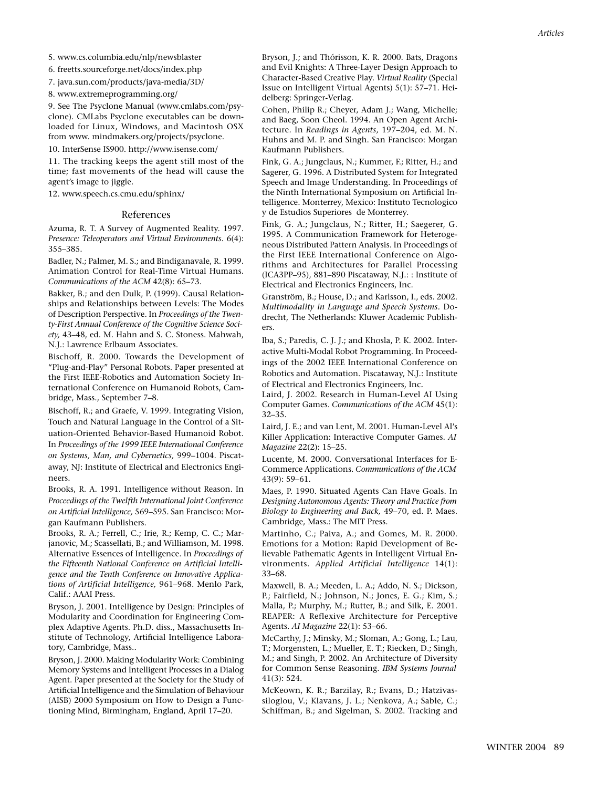6. freetts.sourceforge.net/docs/index.php

7. java.sun.com/products/java-media/3D/

8. www.extremeprogramming.org/

9. See The Psyclone Manual (www.cmlabs.com/psyclone). CMLabs Psyclone executables can be downloaded for Linux, Windows, and Macintosh OSX from www. mindmakers.org/projects/psyclone.

10. InterSense IS900. http://www.isense.com/

11. The tracking keeps the agent still most of the time; fast movements of the head will cause the agent's image to jiggle.

12. www.speech.cs.cmu.edu/sphinx/

#### References

Azuma, R. T. A Survey of Augmented Reality. 1997. *Presence: Teleoperators and Virtual Environments.* 6(4): 355–385.

Badler, N.; Palmer, M. S.; and Bindiganavale, R. 1999. Animation Control for Real-Time Virtual Humans. *Communications of the ACM* 42(8): 65–73.

Bakker, B.; and den Dulk, P. (1999). Causal Relationships and Relationships between Levels: The Modes of Description Perspective. In *Proceedings of the Twenty-First Annual Conference of the Cognitive Science Society,* 43–48, ed. M. Hahn and S. C. Stoness. Mahwah, N.J.: Lawrence Erlbaum Associates.

Bischoff, R. 2000. Towards the Development of "Plug-and-Play" Personal Robots. Paper presented at the First IEEE-Robotics and Automation Society International Conference on Humanoid Robots, Cambridge, Mass., September 7–8.

Bischoff, R.; and Graefe, V. 1999. Integrating Vision, Touch and Natural Language in the Control of a Situation-Oriented Behavior-Based Humanoid Robot. In *Proceedings of the 1999 IEEE International Conference on Systems, Man, and Cybernetics,* 999–1004. Piscataway, NJ: Institute of Electrical and Electronics Engineers.

Brooks, R. A. 1991. Intelligence without Reason. In *Proceedings of the Twelfth International Joint Conference on Artificial Intelligence,* 569–595. San Francisco: Morgan Kaufmann Publishers.

Brooks, R. A.; Ferrell, C.; Irie, R.; Kemp, C. C.; Marjanovic, M.; Scassellati, B.; and Williamson, M. 1998. Alternative Essences of Intelligence. In *Proceedings of the Fifteenth National Conference on Artificial Intelligence and the Tenth Conference on Innovative Applications of Artificial Intelligence,* 961–968. Menlo Park, Calif.: AAAI Press.

Bryson, J. 2001. Intelligence by Design: Principles of Modularity and Coordination for Engineering Complex Adaptive Agents. Ph.D. diss., Massachusetts Institute of Technology, Artificial Intelligence Laboratory, Cambridge, Mass..

Bryson, J. 2000. Making Modularity Work: Combining Memory Systems and Intelligent Processes in a Dialog Agent. Paper presented at the Society for the Study of Artificial Intelligence and the Simulation of Behaviour (AISB) 2000 Symposium on How to Design a Functioning Mind, Birmingham, England, April 17–20.

Bryson, J.; and Thórisson, K. R. 2000. Bats, Dragons and Evil Knights: A Three-Layer Design Approach to Character-Based Creative Play. *Virtual Reality* (Special Issue on Intelligent Virtual Agents) 5(1): 57–71. Heidelberg: Springer-Verlag.

Cohen, Philip R.; Cheyer, Adam J.; Wang, Michelle; and Baeg, Soon Cheol. 1994. An Open Agent Architecture. In *Readings in Agents,* 197–204, ed. M. N. Huhns and M. P. and Singh. San Francisco: Morgan Kaufmann Publishers.

Fink, G. A.; Jungclaus, N.; Kummer, F.; Ritter, H.; and Sagerer, G. 1996. A Distributed System for Integrated Speech and Image Understanding. In Proceedings of the Ninth International Symposium on Artificial Intelligence. Monterrey, Mexico: Instituto Tecnologico y de Estudios Superiores de Monterrey.

Fink, G. A.; Jungclaus, N.; Ritter, H.; Saegerer, G. 1995. A Communication Framework for Heterogeneous Distributed Pattern Analysis. In Proceedings of the First IEEE International Conference on Algorithms and Architectures for Parallel Processing (ICA3PP–95), 881–890 Piscataway, N.J.: : Institute of Electrical and Electronics Engineers, Inc.

Granström, B.; House, D.; and Karlsson, I., eds. 2002. *Multimodality in Language and Speech Systems.* Dodrecht, The Netherlands: Kluwer Academic Publishers.

Iba, S.; Paredis, C. J. J.; and Khosla, P. K. 2002. Interactive Multi-Modal Robot Programming. In Proceedings of the 2002 IEEE International Conference on Robotics and Automation. Piscataway, N.J.: Institute of Electrical and Electronics Engineers, Inc.

Laird, J. 2002. Research in Human-Level AI Using Computer Games. *Communications of the ACM* 45(1): 32–35.

Laird, J. E.; and van Lent, M. 2001. Human-Level AI's Killer Application: Interactive Computer Games. *AI Magazine* 22(2): 15–25.

Lucente, M. 2000. Conversational Interfaces for E-Commerce Applications. *Communications of the ACM* 43(9): 59–61.

Maes, P. 1990. Situated Agents Can Have Goals. In *Designing Autonomous Agents: Theory and Practice from Biology to Engineering and Back,* 49–70, ed. P. Maes. Cambridge, Mass.: The MIT Press.

Martinho, C.; Paiva, A.; and Gomes, M. R. 2000. Emotions for a Motion: Rapid Development of Believable Pathematic Agents in Intelligent Virtual Environments. *Applied Artificial Intelligence* 14(1): 33–68.

Maxwell, B. A.; Meeden, L. A.; Addo, N. S.; Dickson, P.; Fairfield, N.; Johnson, N.; Jones, E. G.; Kim, S.; Malla, P.; Murphy, M.; Rutter, B.; and Silk, E. 2001. REAPER: A Reflexive Architecture for Perceptive Agents. *AI Magazine* 22(1): 53–66.

McCarthy, J.; Minsky, M.; Sloman, A.; Gong, L.; Lau, T.; Morgensten, L.; Mueller, E. T.; Riecken, D.; Singh, M.; and Singh, P. 2002. An Architecture of Diversity for Common Sense Reasoning. *IBM Systems Journal* 41(3): 524.

McKeown, K. R.; Barzilay, R.; Evans, D.; Hatzivassiloglou, V.; Klavans, J. L.; Nenkova, A.; Sable, C.; Schiffman, B.; and Sigelman, S. 2002. Tracking and